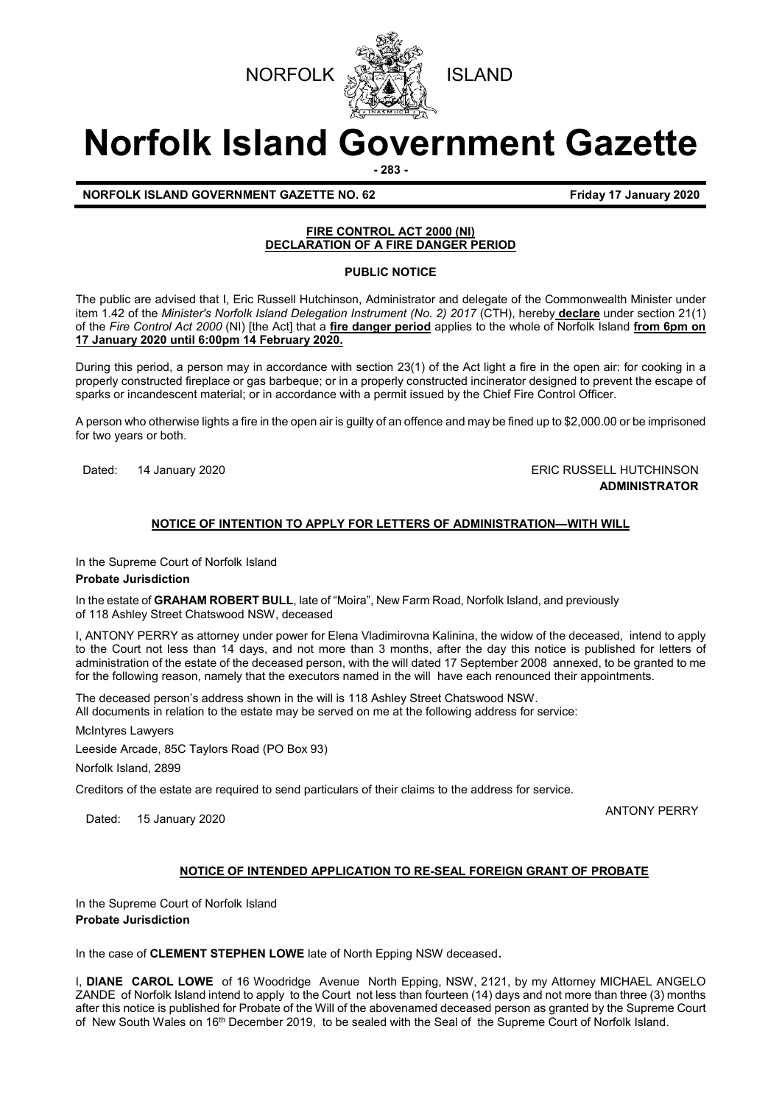



# **Norfolk Island Government Gazette**

**- 283 -**

**NORFOLK ISLAND GOVERNMENT GAZETTE NO. 62** *CONSERVERSIVE STRAND 17 January 2020* 

# **FIRE CONTROL ACT 2000 (NI) DECLARATION OF A FIRE DANGER PERIOD**

# **PUBLIC NOTICE**

The public are advised that I, Eric Russell Hutchinson, Administrator and delegate of the Commonwealth Minister under item 1.42 of the *Minister's Norfolk Island Delegation Instrument (No. 2) 2017* (CTH), hereby **declare** under section 21(1) of the *Fire Control Act 2000* (NI) [the Act] that a **fire danger period** applies to the whole of Norfolk Island **from 6pm on 17 January 2020 until 6:00pm 14 February 2020.**

During this period, a person may in accordance with section 23(1) of the Act light a fire in the open air: for cooking in a properly constructed fireplace or gas barbeque; or in a properly constructed incinerator designed to prevent the escape of sparks or incandescent material; or in accordance with a permit issued by the Chief Fire Control Officer.

A person who otherwise lights a fire in the open air is guilty of an offence and may be fined up to \$2,000.00 or be imprisoned for two years or both.

Dated: 14 January 2020 **ERIC RUSSELL HUTCHINSON ADMINISTRATOR**

# **NOTICE OF INTENTION TO APPLY FOR LETTERS OF ADMINISTRATION—WITH WILL**

In the Supreme Court of Norfolk Island

# **Probate Jurisdiction**

In the estate of **GRAHAM ROBERT BULL**, late of "Moira", New Farm Road, Norfolk Island, and previously of 118 Ashley Street Chatswood NSW, deceased

I, ANTONY PERRY as attorney under power for Elena Vladimirovna Kalinina, the widow of the deceased, intend to apply to the Court not less than 14 days, and not more than 3 months, after the day this notice is published for letters of administration of the estate of the deceased person, with the will dated 17 September 2008 annexed, to be granted to me for the following reason, namely that the executors named in the will have each renounced their appointments.

The deceased person's address shown in the will is 118 Ashley Street Chatswood NSW.

All documents in relation to the estate may be served on me at the following address for service:

McIntyres Lawyers

Leeside Arcade, 85C Taylors Road (PO Box 93)

Norfolk Island, 2899

Creditors of the estate are required to send particulars of their claims to the address for service.

Dated: 15 January 2020 **ANTONY PERRY Dated: 15 January 2020** 

# **NOTICE OF INTENDED APPLICATION TO RE-SEAL FOREIGN GRANT OF PROBATE**

In the Supreme Court of Norfolk Island **Probate Jurisdiction**

In the case of **CLEMENT STEPHEN LOWE** late of North Epping NSW deceased.

I, **DIANE CAROL LOWE** of 16 Woodridge Avenue North Epping, NSW, 2121, by my Attorney MICHAEL ANGELO ZANDE of Norfolk Island intend to apply to the Court not less than fourteen (14) days and not more than three (3) months after this notice is published for Probate of the Will of the abovenamed deceased person as granted by the Supreme Court of New South Wales on 16<sup>th</sup> December 2019, to be sealed with the Seal of the Supreme Court of Norfolk Island.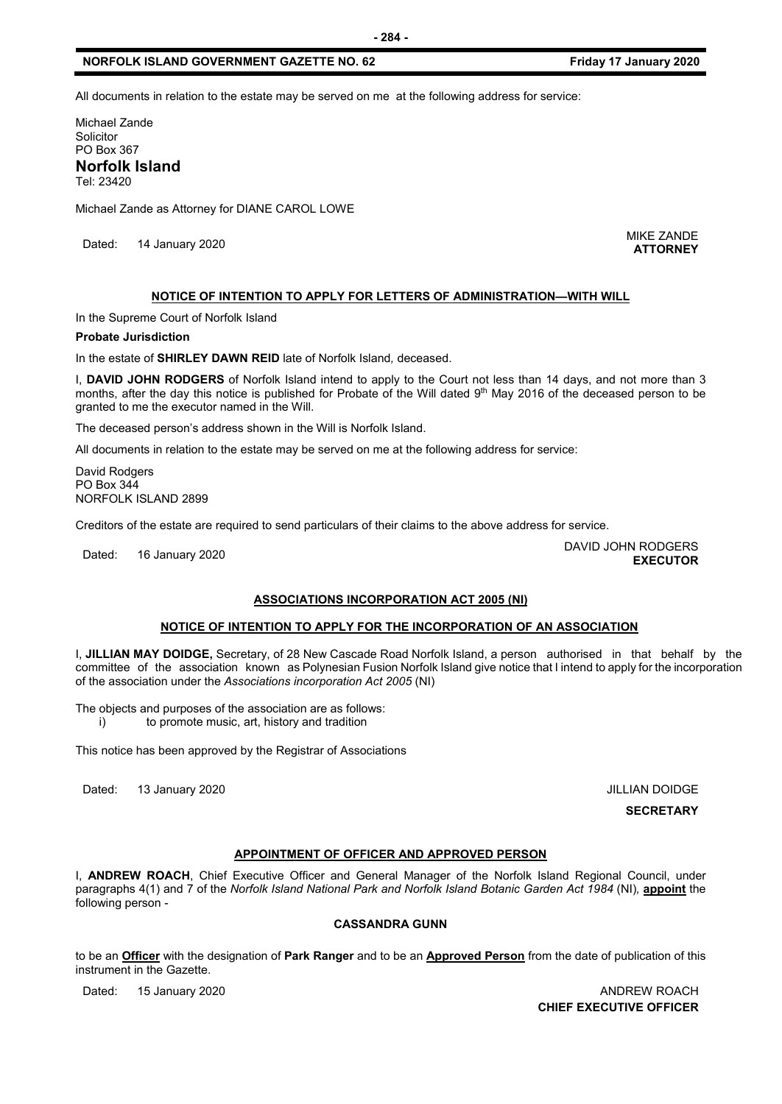All documents in relation to the estate may be served on me at the following address for service:

Michael Zande Solicitor PO Box 367 **Norfolk Island**  Tel: 23420

Michael Zande as Attorney for DIANE CAROL LOWE

Dated: 14 January 2020<br>Dated: 14 January 2020

**ATTORNEY**

#### **NOTICE OF INTENTION TO APPLY FOR LETTERS OF ADMINISTRATION—WITH WILL**

In the Supreme Court of Norfolk Island

#### **Probate Jurisdiction**

In the estate of **SHIRLEY DAWN REID** late of Norfolk Island*,* deceased.

I, **DAVID JOHN RODGERS** of Norfolk Island intend to apply to the Court not less than 14 days, and not more than 3 months, after the day this notice is published for Probate of the Will dated 9th May 2016 of the deceased person to be granted to me the executor named in the Will.

The deceased person's address shown in the Will is Norfolk Island.

All documents in relation to the estate may be served on me at the following address for service:

David Rodgers PO Box 344 NORFOLK ISLAND 2899

Creditors of the estate are required to send particulars of their claims to the above address for service.

Dated: 16 January 2020<br>Dated: 16 January 2020

# **ASSOCIATIONS INCORPORATION ACT 2005 (NI)**

# **NOTICE OF INTENTION TO APPLY FOR THE INCORPORATION OF AN ASSOCIATION**

I, **JILLIAN MAY DOIDGE,** Secretary, of 28 New Cascade Road Norfolk Island, a person authorised in that behalf by the committee of the association known as Polynesian Fusion Norfolk Island give notice that I intend to apply for the incorporation of the association under the *Associations incorporation Act 2005* (NI)

The objects and purposes of the association are as follows:

i) to promote music, art, history and tradition

This notice has been approved by the Registrar of Associations

Dated: 13 January 2020 **JILLIAN DOIDGE** 

**SECRETARY**

**EXECUTOR**

# **APPOINTMENT OF OFFICER AND APPROVED PERSON**

I, **ANDREW ROACH**, Chief Executive Officer and General Manager of the Norfolk Island Regional Council, under paragraphs 4(1) and 7 of the *Norfolk Island National Park and Norfolk Island Botanic Garden Act 1984* (NI)*,* **appoint** the following person -

# **CASSANDRA GUNN**

to be an **Officer** with the designation of **Park Ranger** and to be an **Approved Person** from the date of publication of this instrument in the Gazette.

Dated: 15 January 2020 **ANDREW ROACH CHIEF EXECUTIVE OFFICER**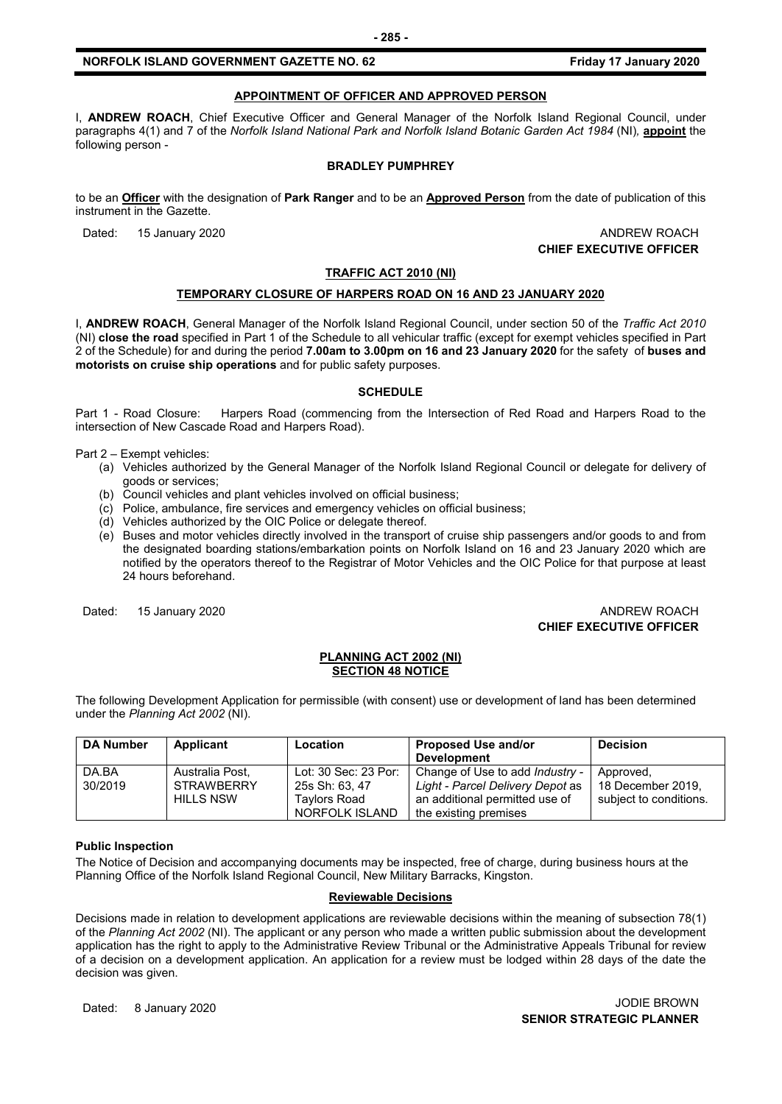# **APPOINTMENT OF OFFICER AND APPROVED PERSON**

I, **ANDREW ROACH**, Chief Executive Officer and General Manager of the Norfolk Island Regional Council, under paragraphs 4(1) and 7 of the *Norfolk Island National Park and Norfolk Island Botanic Garden Act 1984 (NI)*, appoint the following person -

#### **BRADLEY PUMPHREY**

to be an **Officer** with the designation of **Park Ranger** and to be an **Approved Person** from the date of publication of this instrument in the Gazette.

Dated: 15 January 2020 **ANDREW ROACH CHIEF EXECUTIVE OFFICER**

#### **TRAFFIC ACT 2010 (NI)**

# **TEMPORARY CLOSURE OF HARPERS ROAD ON 16 AND 23 JANUARY 2020**

I, **ANDREW ROACH**, General Manager of the Norfolk Island Regional Council, under section 50 of the *Traffic Act 2010*  (NI) **close the road** specified in Part 1 of the Schedule to all vehicular traffic (except for exempt vehicles specified in Part 2 of the Schedule) for and during the period **7.00am to 3.00pm on 16 and 23 January 2020** for the safety of **buses and motorists on cruise ship operations** and for public safety purposes.

#### **SCHEDULE**

Part 1 - Road Closure: Harpers Road (commencing from the Intersection of Red Road and Harpers Road to the intersection of New Cascade Road and Harpers Road).

Part 2 – Exempt vehicles:

- (a) Vehicles authorized by the General Manager of the Norfolk Island Regional Council or delegate for delivery of goods or services;
- (b) Council vehicles and plant vehicles involved on official business;
- (c) Police, ambulance, fire services and emergency vehicles on official business;
- (d) Vehicles authorized by the OIC Police or delegate thereof.
- (e) Buses and motor vehicles directly involved in the transport of cruise ship passengers and/or goods to and from the designated boarding stations/embarkation points on Norfolk Island on 16 and 23 January 2020 which are notified by the operators thereof to the Registrar of Motor Vehicles and the OIC Police for that purpose at least 24 hours beforehand.

# Dated: 15 January 2020 **ANDREW ROACH CHIEF EXECUTIVE OFFICER**

#### **PLANNING ACT 2002 (NI) SECTION 48 NOTICE**

The following Development Application for permissible (with consent) use or development of land has been determined under the *Planning Act 2002* (NI).

| <b>DA Number</b> | Applicant                                                | <b>Location</b>                                                          | <b>Proposed Use and/or</b><br><b>Development</b>                                                                                      | <b>Decision</b>                                          |
|------------------|----------------------------------------------------------|--------------------------------------------------------------------------|---------------------------------------------------------------------------------------------------------------------------------------|----------------------------------------------------------|
| DA.BA<br>30/2019 | Australia Post,<br><b>STRAWBERRY</b><br><b>HILLS NSW</b> | Lot: 30 Sec: 23 Por:<br>25s Sh: 63, 47<br>Tavlors Road<br>NORFOLK ISLAND | Change of Use to add <i>Industry -</i><br>Light - Parcel Delivery Depot as<br>an additional permitted use of<br>the existing premises | Approved,<br>18 December 2019.<br>subject to conditions. |

#### **Public Inspection**

The Notice of Decision and accompanying documents may be inspected, free of charge, during business hours at the Planning Office of the Norfolk Island Regional Council, New Military Barracks, Kingston.

# **Reviewable Decisions**

Decisions made in relation to development applications are reviewable decisions within the meaning of subsection 78(1) of the *Planning Act 2002* (NI). The applicant or any person who made a written public submission about the development application has the right to apply to the Administrative Review Tribunal or the Administrative Appeals Tribunal for review of a decision on a development application. An application for a review must be lodged within 28 days of the date the decision was given.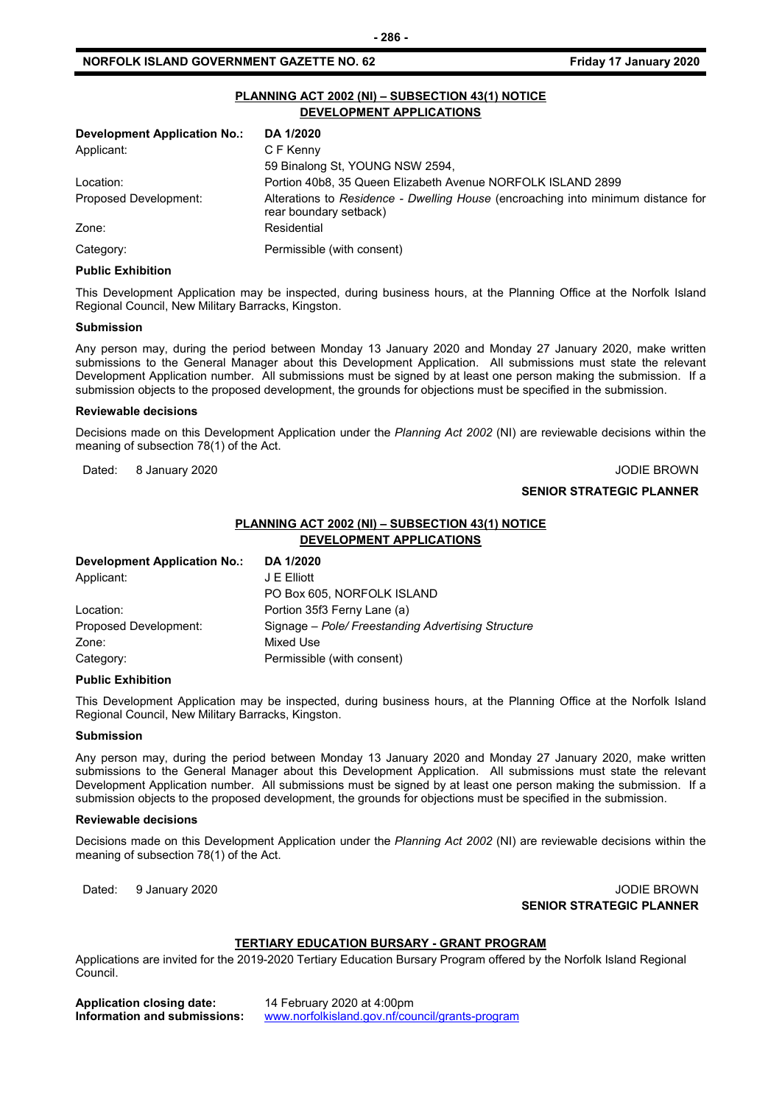| PLANNING ACT 2002 (NI) - SUBSECTION 43(1) NOTICE<br>DEVELOPMENT APPLICATIONS |                                                                                                            |  |  |
|------------------------------------------------------------------------------|------------------------------------------------------------------------------------------------------------|--|--|
| <b>Development Application No.:</b>                                          | DA 1/2020                                                                                                  |  |  |
| Applicant:                                                                   | C F Kenny                                                                                                  |  |  |
|                                                                              | 59 Binalong St, YOUNG NSW 2594,                                                                            |  |  |
| Location:                                                                    | Portion 40b8, 35 Queen Elizabeth Avenue NORFOLK ISLAND 2899                                                |  |  |
| Proposed Development:                                                        | Alterations to Residence - Dwelling House (encroaching into minimum distance for<br>rear boundary setback) |  |  |
| Zone:                                                                        | Residential                                                                                                |  |  |
| Category:                                                                    | Permissible (with consent)                                                                                 |  |  |

#### **Public Exhibition**

This Development Application may be inspected, during business hours, at the Planning Office at the Norfolk Island Regional Council, New Military Barracks, Kingston.

#### **Submission**

Any person may, during the period between Monday 13 January 2020 and Monday 27 January 2020, make written submissions to the General Manager about this Development Application. All submissions must state the relevant Development Application number. All submissions must be signed by at least one person making the submission. If a submission objects to the proposed development, the grounds for objections must be specified in the submission.

#### **Reviewable decisions**

Decisions made on this Development Application under the *Planning Act 2002* (NI) are reviewable decisions within the meaning of subsection 78(1) of the Act.

Dated: 8 January 2020 **John Brown Community Community Community** Community Community Community Community Community

# **PLANNING ACT 2002 (NI) – SUBSECTION 43(1) NOTICE DEVELOPMENT APPLICATIONS**

| <b>Development Application No.:</b> | DA 1/2020                                          |
|-------------------------------------|----------------------------------------------------|
| Applicant:                          | J E Elliott                                        |
|                                     | PO Box 605, NORFOLK ISLAND                         |
| Location:                           | Portion 35f3 Ferny Lane (a)                        |
| Proposed Development:               | Signage – Pole/ Freestanding Advertising Structure |
| Zone:                               | Mixed Use                                          |
| Category:                           | Permissible (with consent)                         |

#### **Public Exhibition**

This Development Application may be inspected, during business hours, at the Planning Office at the Norfolk Island Regional Council, New Military Barracks, Kingston.

#### **Submission**

Any person may, during the period between Monday 13 January 2020 and Monday 27 January 2020, make written submissions to the General Manager about this Development Application. All submissions must state the relevant Development Application number. All submissions must be signed by at least one person making the submission. If a submission objects to the proposed development, the grounds for objections must be specified in the submission.

#### **Reviewable decisions**

Decisions made on this Development Application under the *Planning Act 2002* (NI) are reviewable decisions within the meaning of subsection 78(1) of the Act.

Dated: 9 January 2020 JODIE BROWN **SENIOR STRATEGIC PLANNER**

#### **TERTIARY EDUCATION BURSARY - GRANT PROGRAM**

Applications are invited for the 2019-2020 Tertiary Education Bursary Program offered by the Norfolk Island Regional Council.

| <b>Application closing date:</b> | 14 February 2020 at 4:00pm                      |
|----------------------------------|-------------------------------------------------|
| Information and submissions:     | www.norfolkisland.gov.nf/council/grants-program |

**- 286 -**

# **SENIOR STRATEGIC PLANNER**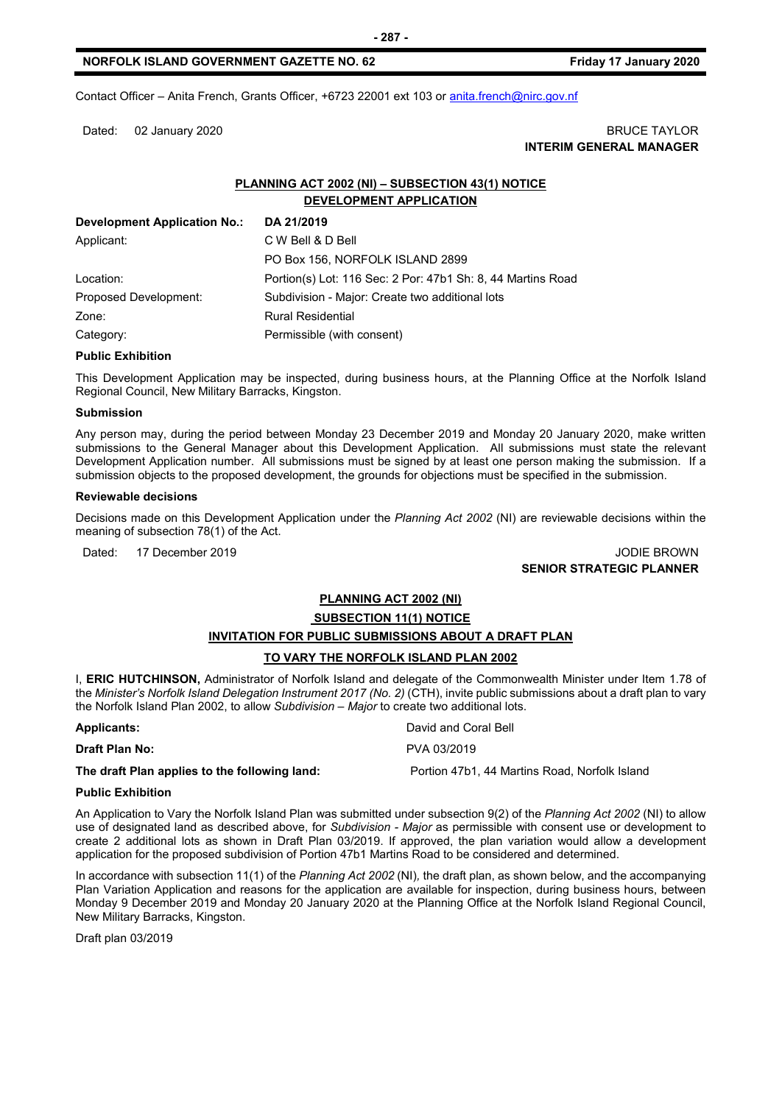Contact Officer – Anita French, Grants Officer, +6723 22001 ext 103 o[r anita.french@nirc.gov.nf](mailto:anita.french@nirc.gov.nf)

# Dated: 02 January 2020 **BRUCE TAYLOR INTERIM GENERAL MANAGER**

# **PLANNING ACT 2002 (NI) – SUBSECTION 43(1) NOTICE DEVELOPMENT APPLICATION**

| <b>Development Application No.:</b> | DA 21/2019                                                  |
|-------------------------------------|-------------------------------------------------------------|
| Applicant:                          | C W Bell & D Bell                                           |
|                                     | PO Box 156, NORFOLK ISLAND 2899                             |
| Location:                           | Portion(s) Lot: 116 Sec: 2 Por: 47b1 Sh: 8, 44 Martins Road |
| Proposed Development:               | Subdivision - Major: Create two additional lots             |
| Zone:                               | <b>Rural Residential</b>                                    |
| Category:                           | Permissible (with consent)                                  |

# **Public Exhibition**

This Development Application may be inspected, during business hours, at the Planning Office at the Norfolk Island Regional Council, New Military Barracks, Kingston.

#### **Submission**

Any person may, during the period between Monday 23 December 2019 and Monday 20 January 2020, make written submissions to the General Manager about this Development Application. All submissions must state the relevant Development Application number. All submissions must be signed by at least one person making the submission. If a submission objects to the proposed development, the grounds for objections must be specified in the submission.

#### **Reviewable decisions**

Decisions made on this Development Application under the *Planning Act 2002* (NI) are reviewable decisions within the meaning of subsection 78(1) of the Act.

# Dated: 17 December 2019 JODIE BROWN **SENIOR STRATEGIC PLANNER**

# **PLANNING ACT 2002 (NI)**

#### **SUBSECTION 11(1) NOTICE**

# **INVITATION FOR PUBLIC SUBMISSIONS ABOUT A DRAFT PLAN**

# **TO VARY THE NORFOLK ISLAND PLAN 2002**

I, **ERIC HUTCHINSON,** Administrator of Norfolk Island and delegate of the Commonwealth Minister under Item 1.78 of the *Minister's Norfolk Island Delegation Instrument 2017 (No. 2)* (CTH), invite public submissions about a draft plan to vary the Norfolk Island Plan 2002, to allow *Subdivision – Major* to create two additional lots.

| <b>Applicants:</b>                            | David and Coral Bell                          |
|-----------------------------------------------|-----------------------------------------------|
| Draft Plan No:                                | PVA 03/2019                                   |
| The draft Plan applies to the following land: | Portion 47b1, 44 Martins Road, Norfolk Island |

#### **Public Exhibition**

An Application to Vary the Norfolk Island Plan was submitted under subsection 9(2) of the *Planning Act 2002* (NI) to allow use of designated land as described above, for *Subdivision - Major* as permissible with consent use or development to create 2 additional lots as shown in Draft Plan 03/2019. If approved, the plan variation would allow a development application for the proposed subdivision of Portion 47b1 Martins Road to be considered and determined.

In accordance with subsection 11(1) of the *Planning Act 2002* (NI)*,* the draft plan, as shown below, and the accompanying Plan Variation Application and reasons for the application are available for inspection, during business hours, between Monday 9 December 2019 and Monday 20 January 2020 at the Planning Office at the Norfolk Island Regional Council, New Military Barracks, Kingston.

Draft plan 03/2019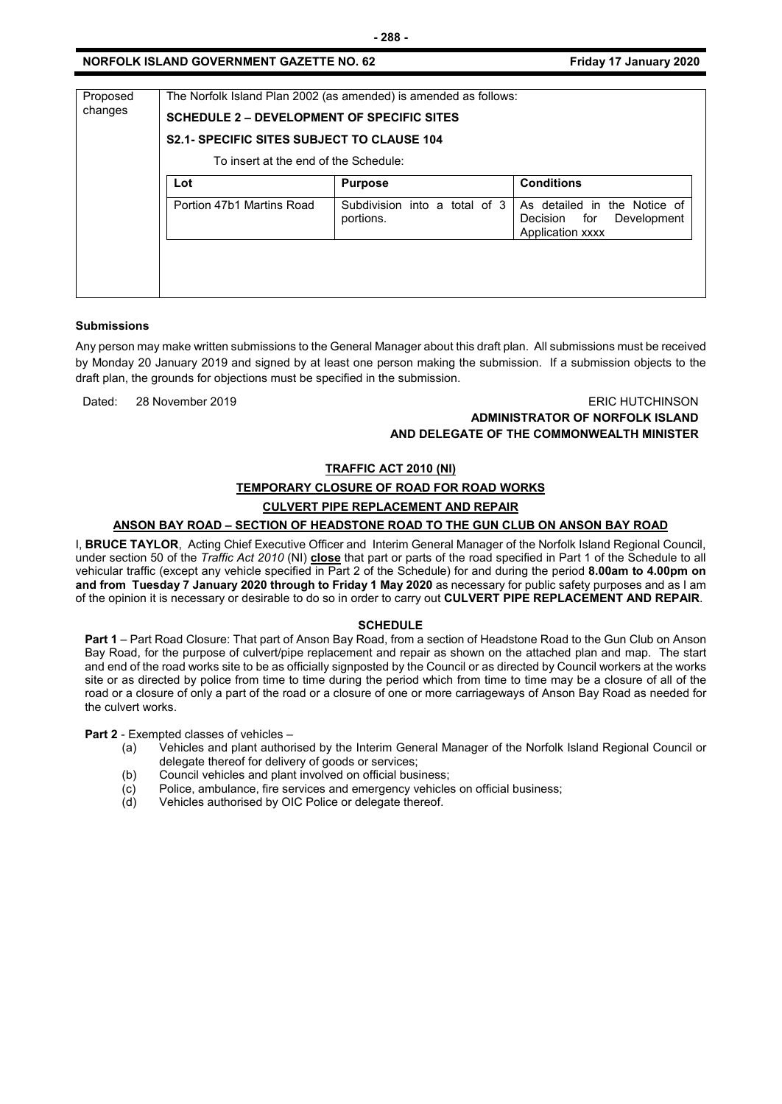| Proposed<br>changes | The Norfolk Island Plan 2002 (as amended) is amended as follows:<br><b>SCHEDULE 2 – DEVELOPMENT OF SPECIFIC SITES</b><br><b>S2.1- SPECIFIC SITES SUBJECT TO CLAUSE 104</b><br>To insert at the end of the Schedule: |                                            |                                                                                    |  |
|---------------------|---------------------------------------------------------------------------------------------------------------------------------------------------------------------------------------------------------------------|--------------------------------------------|------------------------------------------------------------------------------------|--|
|                     | Lot                                                                                                                                                                                                                 | <b>Purpose</b>                             | <b>Conditions</b>                                                                  |  |
|                     | Portion 47b1 Martins Road                                                                                                                                                                                           | Subdivision into a total of 3<br>portions. | As detailed in the Notice of<br>Decision<br>for<br>Development<br>Application xxxx |  |
|                     |                                                                                                                                                                                                                     |                                            |                                                                                    |  |

# **Submissions**

Any person may make written submissions to the General Manager about this draft plan. All submissions must be received by Monday 20 January 2019 and signed by at least one person making the submission. If a submission objects to the draft plan, the grounds for objections must be specified in the submission.

Dated: 28 November 2019 ERIC HUTCHINSON

# **ADMINISTRATOR OF NORFOLK ISLAND**

# **AND DELEGATE OF THE COMMONWEALTH MINISTER**

# **TRAFFIC ACT 2010 (NI)**

# **TEMPORARY CLOSURE OF ROAD FOR ROAD WORKS**

# **CULVERT PIPE REPLACEMENT AND REPAIR**

# **ANSON BAY ROAD – SECTION OF HEADSTONE ROAD TO THE GUN CLUB ON ANSON BAY ROAD**

I, **BRUCE TAYLOR**, Acting Chief Executive Officer and Interim General Manager of the Norfolk Island Regional Council, under section 50 of the *Traffic Act 2010* (NI) **close** that part or parts of the road specified in Part 1 of the Schedule to all vehicular traffic (except any vehicle specified in Part 2 of the Schedule) for and during the period **8.00am to 4.00pm on and from Tuesday 7 January 2020 through to Friday 1 May 2020** as necessary for public safety purposes and as I am of the opinion it is necessary or desirable to do so in order to carry out **CULVERT PIPE REPLACEMENT AND REPAIR**.

# **SCHEDULE**

**Part 1** – Part Road Closure: That part of Anson Bay Road, from a section of Headstone Road to the Gun Club on Anson Bay Road, for the purpose of culvert/pipe replacement and repair as shown on the attached plan and map. The start and end of the road works site to be as officially signposted by the Council or as directed by Council workers at the works site or as directed by police from time to time during the period which from time to time may be a closure of all of the road or a closure of only a part of the road or a closure of one or more carriageways of Anson Bay Road as needed for the culvert works.

**Part 2** - Exempted classes of vehicles –

- (a) Vehicles and plant authorised by the Interim General Manager of the Norfolk Island Regional Council or delegate thereof for delivery of goods or services;
- 
- (b) Council vehicles and plant involved on official business;<br>(c) Police, ambulance, fire services and emergency vehicle  $\overline{c}$  Police, ambulance, fire services and emergency vehicles on official business;<br>(d) Vehicles authorised by OIC Police or delegate thereof.
- Vehicles authorised by OIC Police or delegate thereof.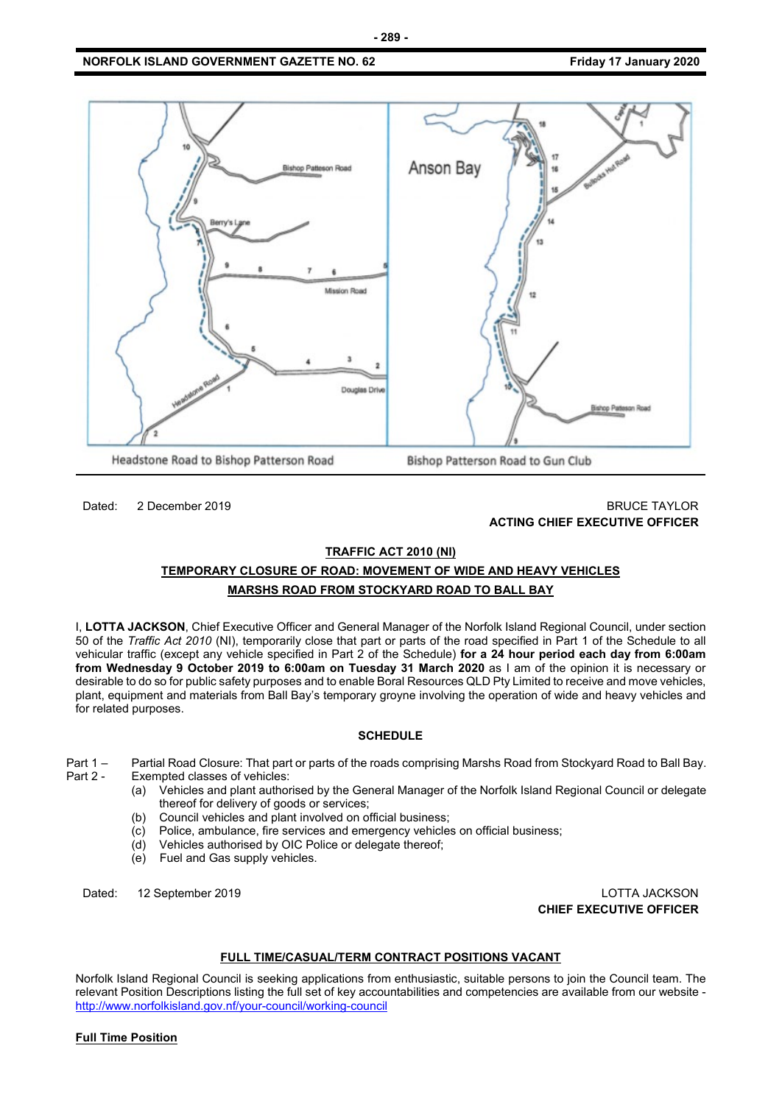

# Dated: 2 December 2019 **BRUCE TAYLOR ACTING CHIEF EXECUTIVE OFFICER**

#### **TRAFFIC ACT 2010 (NI)**

# **TEMPORARY CLOSURE OF ROAD: MOVEMENT OF WIDE AND HEAVY VEHICLES MARSHS ROAD FROM STOCKYARD ROAD TO BALL BAY**

I, **LOTTA JACKSON**, Chief Executive Officer and General Manager of the Norfolk Island Regional Council, under section 50 of the *Traffic Act 2010* (NI), temporarily close that part or parts of the road specified in Part 1 of the Schedule to all vehicular traffic (except any vehicle specified in Part 2 of the Schedule) **for a 24 hour period each day from 6:00am from Wednesday 9 October 2019 to 6:00am on Tuesday 31 March 2020** as I am of the opinion it is necessary or desirable to do so for public safety purposes and to enable Boral Resources QLD Pty Limited to receive and move vehicles, plant, equipment and materials from Ball Bay's temporary groyne involving the operation of wide and heavy vehicles and for related purposes.

# **SCHEDULE**

Part 1 – Partial Road Closure: That part or parts of the roads comprising Marshs Road from Stockyard Road to Ball Bay. Exempted classes of vehicles:

- (a) Vehicles and plant authorised by the General Manager of the Norfolk Island Regional Council or delegate thereof for delivery of goods or services;
- (b) Council vehicles and plant involved on official business;
- (c) Police, ambulance, fire services and emergency vehicles on official business;
- (d) Vehicles authorised by OIC Police or delegate thereof;
- (e) Fuel and Gas supply vehicles.

Dated: 12 September 2019 LOTTA JACKSON **CHIEF EXECUTIVE OFFICER**

# **FULL TIME/CASUAL/TERM CONTRACT POSITIONS VACANT**

Norfolk Island Regional Council is seeking applications from enthusiastic, suitable persons to join the Council team. The relevant Position Descriptions listing the full set of key accountabilities and competencies are available from our website <http://www.norfolkisland.gov.nf/your-council/working-council>